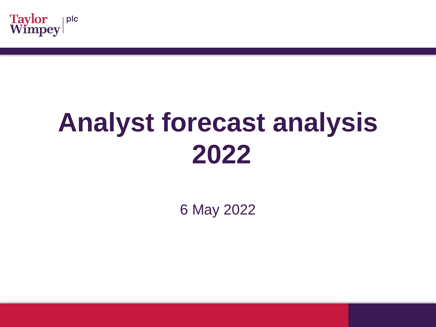

## **Analyst forecast analysis 2022**

6 May 2022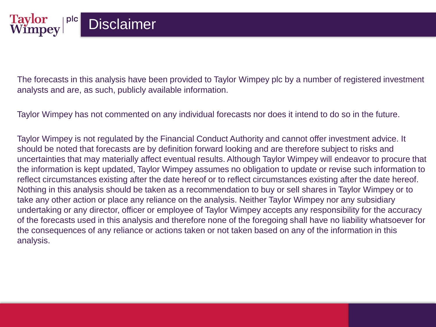**Taylor**<br>Wimpey

plc

The forecasts in this analysis have been provided to Taylor Wimpey plc by a number of registered investment analysts and are, as such, publicly available information.

Taylor Wimpey has not commented on any individual forecasts nor does it intend to do so in the future.

Taylor Wimpey is not regulated by the Financial Conduct Authority and cannot offer investment advice. It should be noted that forecasts are by definition forward looking and are therefore subject to risks and uncertainties that may materially affect eventual results. Although Taylor Wimpey will endeavor to procure that the information is kept updated, Taylor Wimpey assumes no obligation to update or revise such information to reflect circumstances existing after the date hereof or to reflect circumstances existing after the date hereof. Nothing in this analysis should be taken as a recommendation to buy or sell shares in Taylor Wimpey or to take any other action or place any reliance on the analysis. Neither Taylor Wimpey nor any subsidiary undertaking or any director, officer or employee of Taylor Wimpey accepts any responsibility for the accuracy of the forecasts used in this analysis and therefore none of the foregoing shall have no liability whatsoever for the consequences of any reliance or actions taken or not taken based on any of the information in this analysis.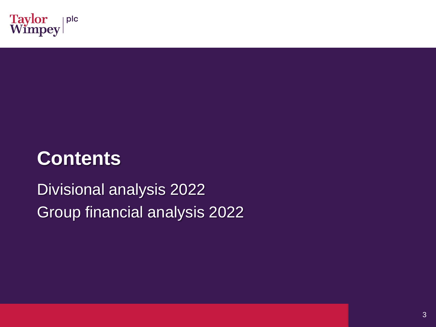

## **Contents**

Divisional analysis 2022 Group financial analysis 2022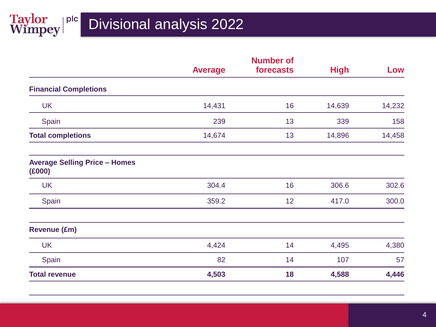|                                                |                | <b>Number of</b> |             |        |
|------------------------------------------------|----------------|------------------|-------------|--------|
|                                                | <b>Average</b> | forecasts        | <b>High</b> | Low    |
| <b>Financial Completions</b>                   |                |                  |             |        |
| <b>UK</b>                                      | 14,431         | 16               | 14,639      | 14,232 |
| Spain                                          | 239            | 13               | 339         | 158    |
| <b>Total completions</b>                       | 14,674         | 13               | 14,896      | 14,458 |
| <b>Average Selling Price - Homes</b><br>(E000) |                |                  |             |        |
| <b>UK</b>                                      | 304.4          | 16               | 306.6       | 302.6  |
| Spain                                          | 359.2          | 12               | 417.0       | 300.0  |
| <b>Revenue (£m)</b>                            |                |                  |             |        |
| <b>UK</b>                                      | 4,424          | 14               | 4,495       | 4,380  |
| Spain                                          | 82             | 14               | 107         | 57     |
| <b>Total revenue</b>                           | 4,503          | 18               | 4,588       | 4,446  |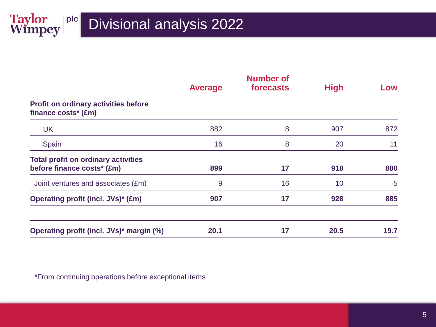Taylor plc

|                                                                          | <b>Average</b> | <b>Number of</b><br>forecasts | <b>High</b> | Low  |
|--------------------------------------------------------------------------|----------------|-------------------------------|-------------|------|
| <b>Profit on ordinary activities before</b><br>finance costs* (£m)       |                |                               |             |      |
| <b>UK</b>                                                                | 882            | 8                             | 907         | 872  |
| Spain                                                                    | 16             | 8                             | 20          | 11   |
| <b>Total profit on ordinary activities</b><br>before finance costs* (£m) | 899            | 17                            | 918         | 880  |
| Joint ventures and associates (£m)                                       | 9              | 16                            | 10          | 5    |
| <b>Operating profit (incl. JVs)* (£m)</b>                                | 907            | 17                            | 928         | 885  |
| Operating profit (incl. JVs)* margin (%)                                 | 20.1           | 17                            | 20.5        | 19.7 |

\*From continuing operations before exceptional items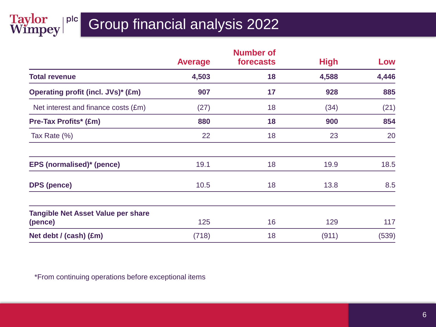## Taylor plc

## Group financial analysis 2022

|                                                      |                | <b>Number of</b> |             |       |
|------------------------------------------------------|----------------|------------------|-------------|-------|
|                                                      | <b>Average</b> | forecasts        | <b>High</b> | Low   |
| <b>Total revenue</b>                                 | 4,503          | 18               | 4,588       | 4,446 |
| <b>Operating profit (incl. JVs)* (£m)</b>            | 907            | 17               | 928         | 885   |
| Net interest and finance costs (£m)                  | (27)           | 18               | (34)        | (21)  |
| <b>Pre-Tax Profits* (£m)</b>                         | 880            | 18               | 900         | 854   |
| Tax Rate (%)                                         | 22             | 18               | 23          | 20    |
| EPS (normalised)* (pence)                            | 19.1           | 18               | 19.9        | 18.5  |
| <b>DPS</b> (pence)                                   | 10.5           | 18               | 13.8        | 8.5   |
| <b>Tangible Net Asset Value per share</b><br>(pence) | 125            | 16               | 129         | 117   |
| Net debt / (cash) (£m)                               | (718)          | 18               | (911)       | (539) |

\*From continuing operations before exceptional items